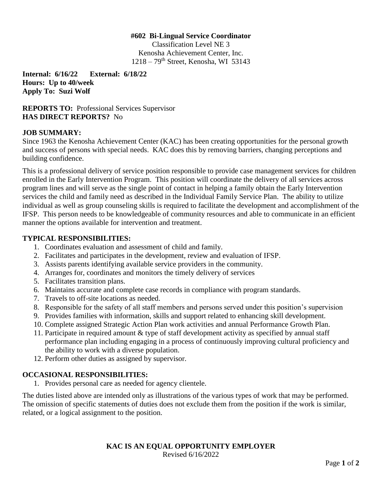#### **#602 Bi-Lingual Service Coordinator**

Classification Level NE 3 Kenosha Achievement Center, Inc.  $1218 - 79$ <sup>th</sup> Street, Kenosha, WI 53143

**Internal: 6/16/22 External: 6/18/22 Hours: Up to 40/week Apply To: Suzi Wolf**

**REPORTS TO:** Professional Services Supervisor **HAS DIRECT REPORTS?** No

### **JOB SUMMARY:**

Since 1963 the Kenosha Achievement Center (KAC) has been creating opportunities for the personal growth and success of persons with special needs. KAC does this by removing barriers, changing perceptions and building confidence.

This is a professional delivery of service position responsible to provide case management services for children enrolled in the Early Intervention Program. This position will coordinate the delivery of all services across program lines and will serve as the single point of contact in helping a family obtain the Early Intervention services the child and family need as described in the Individual Family Service Plan. The ability to utilize individual as well as group counseling skills is required to facilitate the development and accomplishment of the IFSP. This person needs to be knowledgeable of community resources and able to communicate in an efficient manner the options available for intervention and treatment.

## **TYPICAL RESPONSIBILITIES:**

- 1. Coordinates evaluation and assessment of child and family.
- 2. Facilitates and participates in the development, review and evaluation of IFSP.
- 3. Assists parents identifying available service providers in the community.
- 4. Arranges for, coordinates and monitors the timely delivery of services
- 5. Facilitates transition plans.
- 6. Maintains accurate and complete case records in compliance with program standards.
- 7. Travels to off-site locations as needed.
- 8. Responsible for the safety of all staff members and persons served under this position's supervision
- 9. Provides families with information, skills and support related to enhancing skill development.
- 10. Complete assigned Strategic Action Plan work activities and annual Performance Growth Plan.
- 11. Participate in required amount & type of staff development activity as specified by annual staff performance plan including engaging in a process of continuously improving cultural proficiency and the ability to work with a diverse population.
- 12. Perform other duties as assigned by supervisor.

# **OCCASIONAL RESPONSIBILITIES:**

1. Provides personal care as needed for agency clientele.

The duties listed above are intended only as illustrations of the various types of work that may be performed. The omission of specific statements of duties does not exclude them from the position if the work is similar, related, or a logical assignment to the position.

### **KAC IS AN EQUAL OPPORTUNITY EMPLOYER** Revised 6/16/2022